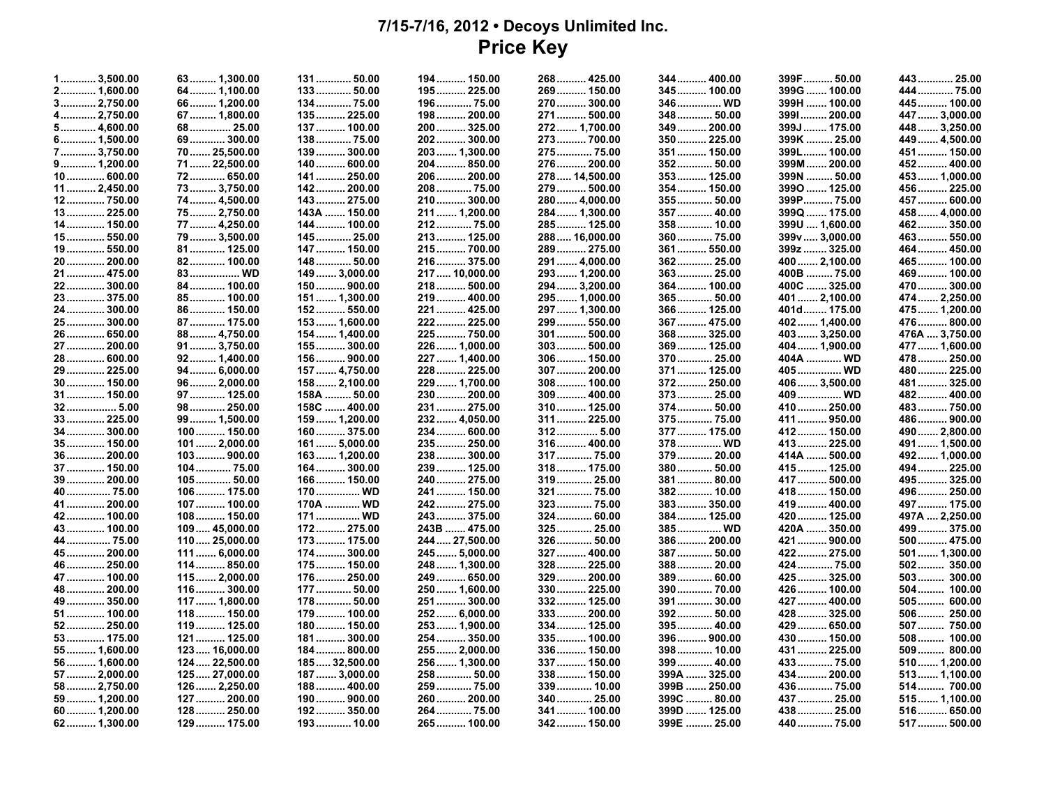## **7/15-7/16, 2012 • Decoys Unlimited Inc. Price Key**

| 2 1,600.00<br>64 1,100.00<br>133 50.00<br>195  225.00<br>269 150.00<br>345 100.00<br>399G  100.00<br>444  75.00<br>3 2,750.00<br>196 75.00<br>270 300.00<br>346 WD<br>399H  100.00<br>445  100.00<br>66 1,200.00<br>134 75.00<br>4 2,750.00<br>447  3,000.00<br>67 1,800.00<br>135 225.00<br>198 200.00<br>271 500.00<br>348 50.00<br>3991 200.00<br>5 4,600.00<br>68  25.00<br>137  100.00<br>200 325.00<br>272 1,700.00<br>349 200.00<br>399J  175.00<br>448  3,250.00<br>202 300.00<br>399K  25.00<br>6 1,500.00<br>69 300.00<br>138 75.00<br>273 700.00<br>350 225.00<br>449  4,500.00<br>7 3,750.00<br>70 25,500.00<br>139 300.00<br>203 1,300.00<br>275 75.00<br>351 150.00<br>399L 100.00<br>451  150.00<br>71 22,500.00<br>276  200.00<br>399M  200.00<br>9 1,200.00<br>140  600.00<br>204 850.00<br>352 50.00<br>452 400.00<br>72 650.00<br>141  250.00<br>206 200.00<br>278  14,500.00<br>353 125.00<br>399N  50.00<br>453  1,000.00<br>10 600.00<br>73 3,750.00<br>142  200.00<br>279 500.00<br>354 150.00<br>3990  125.00<br>456  225.00<br>11 2,450.00<br>20875.00<br>280  4,000.00<br>399P75.00<br>74 4,500.00<br>143  275.00<br>210 300.00<br>355 50.00<br>457  600.00<br>12 750.00<br>284  1,300.00<br>13 225.00<br>75 2,750.00<br>143A  150.00<br>211 1,200.00<br>357 40.00<br>399Q  175.00<br>458  4,000.00<br>77 4,250.00<br>144  100.00<br>212 75.00<br>285 125.00<br>358 10.00<br>399U  1,600.00<br>462 350.00<br>14 150.00<br>79 3,500.00<br>145  25.00<br>213 125.00<br>288  16,000.00<br>360 75.00<br>15 550.00<br>399v  3,000.00<br>463 550.00<br>289 275.00<br>19 550.00<br>81 125.00<br>147  150.00<br>215 700.00<br>361 550.00<br>399z  325.00<br>464  450.00<br>20  200.00<br>148  50.00<br>216 375.00<br>291  4,000.00<br>362 25.00<br>400 2,100.00<br>465 100.00<br>82 100.00<br>21  475.00<br>83 WD<br>149  3,000.00<br>217  10,000.00<br>293  1,200.00<br>363 25.00<br>400B  75.00<br>469  100.00<br>22 300.00<br>150  900.00<br>294  3,200.00<br>364 100.00<br>400C  325.00<br>470 300.00<br>84 100.00<br>218 500.00<br>295 1,000.00<br>23 375.00<br>85 100.00<br>151  1,300.00<br>219 400.00<br>365 50.00<br>401 2,100.00<br>474 2,250.00<br>24  300.00<br>152 550.00<br>297  1,300.00<br>401d 175.00<br>475  1,200.00<br>86 150.00<br>221  425.00<br>366 125.00<br>222 225.00<br>299 550.00<br>25 300.00<br>87 175.00<br>153  1,600.00<br>367 475.00<br>402 1,400.00<br>476800.00<br>26  650.00<br>476A  3,750.00<br>88 4,750.00<br>154  1,400.00<br>225 750.00<br>301 500.00<br>368 325.00<br>403 3,250.00<br>27  200.00<br>91 3,750.00<br>155  300.00<br>226  1,000.00<br>303 500.00<br>369 125.00<br>404  1,900.00<br>477  1,600.00<br>156  900.00<br>227  1,400.00<br>306 150.00<br>370 25.00<br>404A  WD<br>478 250.00<br>28 600.00<br>92 1,400.00<br>29 225.00<br>94 6,000.00<br>157  4,750.00<br>228 225.00<br>307  200.00<br>371 125.00<br>405  WD<br>480 225.00<br>30 150.00<br>96 2,000.00<br>158 2,100.00<br>229  1,700.00<br>308 100.00<br>372 250.00<br>406 3,500.00<br>481  325.00<br>31 150.00<br>97 125.00<br>158A  50.00<br>230 200.00<br>309  400.00<br>373 25.00<br>409  WD<br>482 400.00<br>483  750.00<br>32 5.00<br>98 250.00<br>158C  400.00<br>231  275.00<br>310 125.00<br>374 50.00<br>410 250.00<br>33 225.00<br>99 1,500.00<br>159  1,200.00<br>232 4,050.00<br>311 225.00<br>375 75.00<br>411 950.00<br>486 900.00<br>312 5.00<br>490  2,800.00<br>34 300.00<br>100 150.00<br>160 375.00<br>234  600.00<br>377 175.00<br>412 150.00<br>413  225.00<br>491  1,500.00<br>35 150.00<br>$101$ 2,000.00<br>161 5,000.00<br>235 250.00<br>316 400.00<br>378 WD<br>414A  500.00<br>36 200.00<br>103 900.00<br>163  1,200.00<br>238 300.00<br>317 75.00<br>379 20.00<br>492  1,000.00<br>37  150.00<br>164  300.00<br>239 125.00<br>318 175.00<br>380 50.00<br>104 75.00<br>415 125.00<br>494  225.00<br>319 25.00<br>39 200.00<br>105 50.00<br>166  150.00<br>240  275.00<br>381 80.00<br>417  500.00<br>495 325.00<br>241  150.00<br>321  75.00<br>382 10.00<br>496  250.00<br>40 75.00<br>106 175.00<br>170  WD<br>418 150.00<br>41  200.00<br>323 75.00<br>107  100.00<br>170A  WD<br>242 275.00<br>383 350.00<br>419  400.00<br>497  175.00<br>108 150.00<br>243 375.00<br>324 60.00<br>420  125.00<br>497A  2,250.00<br>42 100.00<br>171  WD<br>384 125.00<br>325  25.00<br>43 100.00<br>109 45,000.00<br>172 275.00<br>243B  475.00<br>385 WD<br>420A  350.00<br>499 375.00<br>110 25,000.00<br>173 175.00<br>326 50.00<br>421  900.00<br>500  475.00<br>44  75.00<br>244 27,500.00<br>386 200.00<br>45 200.00<br>111 6,000.00<br>174  300.00<br>245 5,000.00<br>327  400.00<br>387 50.00<br>422 275.00<br>501  1,300.00<br>114 850.00<br>328  225.00<br>388 20.00<br>424  75.00<br>502 350.00<br>46  250.00<br>175  150.00<br>248  1,300.00<br>503 300.00<br>47 100.00<br>115  2,000.00<br>176  250.00<br>249  650.00<br>329  200.00<br>389 60.00<br>425 325.00<br>48  200.00<br>116 300.00<br>177  50.00<br>250  1,600.00<br>330 225.00<br>390 70.00<br>426  100.00<br>504 100.00<br>505 600.00<br>49  350.00<br>117  1,800.00<br>178 50.00<br>251  300.00<br>332 125.00<br>391 30.00<br>427  400.00<br>51  100.00<br>179  100.00<br>252 6,000.00<br>333  200.00<br>392 50.00<br>428  325.00<br>506 250.00<br>118 150.00<br>52 250.00<br>119 125.00<br>334 125.00<br>395 40.00<br>429  650.00<br>507  750.00<br>180 150.00<br>253 1,900.00<br>396 900.00<br>508 100.00<br>53 175.00<br>121 125.00<br>181  300.00<br>254 350.00<br>335 100.00<br>430 150.00<br>123 16,000.00<br>184  800.00<br>255 2,000.00<br>336 150.00<br>398 10.00<br>431 225.00<br>509 800.00<br>55 1,600.00<br>124  22,500.00<br>256  1,300.00<br>337  150.00<br>399 40.00<br>433 75.00<br>510  1,200.00<br>56  1,600.00<br>185 32,500.00<br>125 27,000.00<br>338 150.00<br>399A  325.00<br>434  200.00<br>513  1,100.00<br>57 2,000.00<br>187  3,000.00<br>258 50.00<br>126 2,250.00<br>339 10.00<br>399B  250.00<br>436  75.00<br>58  2,750.00<br>188  400.00<br>259  75.00<br>514 700.00<br>399C  80.00<br>59  1,200.00<br>127  200.00<br>190 900.00<br>260 200.00<br>340 25.00<br>437  25.00<br>515 1,100.00<br>128  250.00<br>192 350.00<br>264 75.00<br>341  100.00<br>399D  125.00<br>438 25.00<br>516 650.00<br>60 1,200.00<br>129  175.00<br>193  10.00<br>265 100.00<br>342  150.00<br>399E  25.00<br>440  75.00<br>517 500.00<br>62 1,300.00 | $1$ 3,500.00 | 63 1,300.00 | 131 50.00 | 194 150.00 | 268 425.00 | 344 400.00 | 399F 50.00 | 443  25.00 |
|------------------------------------------------------------------------------------------------------------------------------------------------------------------------------------------------------------------------------------------------------------------------------------------------------------------------------------------------------------------------------------------------------------------------------------------------------------------------------------------------------------------------------------------------------------------------------------------------------------------------------------------------------------------------------------------------------------------------------------------------------------------------------------------------------------------------------------------------------------------------------------------------------------------------------------------------------------------------------------------------------------------------------------------------------------------------------------------------------------------------------------------------------------------------------------------------------------------------------------------------------------------------------------------------------------------------------------------------------------------------------------------------------------------------------------------------------------------------------------------------------------------------------------------------------------------------------------------------------------------------------------------------------------------------------------------------------------------------------------------------------------------------------------------------------------------------------------------------------------------------------------------------------------------------------------------------------------------------------------------------------------------------------------------------------------------------------------------------------------------------------------------------------------------------------------------------------------------------------------------------------------------------------------------------------------------------------------------------------------------------------------------------------------------------------------------------------------------------------------------------------------------------------------------------------------------------------------------------------------------------------------------------------------------------------------------------------------------------------------------------------------------------------------------------------------------------------------------------------------------------------------------------------------------------------------------------------------------------------------------------------------------------------------------------------------------------------------------------------------------------------------------------------------------------------------------------------------------------------------------------------------------------------------------------------------------------------------------------------------------------------------------------------------------------------------------------------------------------------------------------------------------------------------------------------------------------------------------------------------------------------------------------------------------------------------------------------------------------------------------------------------------------------------------------------------------------------------------------------------------------------------------------------------------------------------------------------------------------------------------------------------------------------------------------------------------------------------------------------------------------------------------------------------------------------------------------------------------------------------------------------------------------------------------------------------------------------------------------------------------------------------------------------------------------------------------------------------------------------------------------------------------------------------------------------------------------------------------------------------------------------------------------------------------------------------------------------------------------------------------------------------------------------------------------------------------------------------------------------------------------------------------------------------------------------------------------------------------------------------------------------------------------------------------------------------------------------------------------------------------------------------------------------------------------------------------------------------------------------------------------------------------------------------------------------------------------------------------------------------------------------------------------------------------------------------------------------------------------------------------------------------------------------------------------------------------------------------------------------------------------------------------------------------------------------------------------------------------------------------------------------------------------------------------------------------------------------------------------------------------------------------------------------------------------------------------------------------------------------------------------------------------------------------------------------------------------------------------------------------------------------------------------------------------------------------------------------------------------------------------------------------------------------------------------------------------------------------------------------------------------------------------------|--------------|-------------|-----------|------------|------------|------------|------------|------------|
|                                                                                                                                                                                                                                                                                                                                                                                                                                                                                                                                                                                                                                                                                                                                                                                                                                                                                                                                                                                                                                                                                                                                                                                                                                                                                                                                                                                                                                                                                                                                                                                                                                                                                                                                                                                                                                                                                                                                                                                                                                                                                                                                                                                                                                                                                                                                                                                                                                                                                                                                                                                                                                                                                                                                                                                                                                                                                                                                                                                                                                                                                                                                                                                                                                                                                                                                                                                                                                                                                                                                                                                                                                                                                                                                                                                                                                                                                                                                                                                                                                                                                                                                                                                                                                                                                                                                                                                                                                                                                                                                                                                                                                                                                                                                                                                                                                                                                                                                                                                                                                                                                                                                                                                                                                                                                                                                                                                                                                                                                                                                                                                                                                                                                                                                                                                                                                                                                                                                                                                                                                                                                                                                                                                                                                                                                                                                                                                                |              |             |           |            |            |            |            |            |
|                                                                                                                                                                                                                                                                                                                                                                                                                                                                                                                                                                                                                                                                                                                                                                                                                                                                                                                                                                                                                                                                                                                                                                                                                                                                                                                                                                                                                                                                                                                                                                                                                                                                                                                                                                                                                                                                                                                                                                                                                                                                                                                                                                                                                                                                                                                                                                                                                                                                                                                                                                                                                                                                                                                                                                                                                                                                                                                                                                                                                                                                                                                                                                                                                                                                                                                                                                                                                                                                                                                                                                                                                                                                                                                                                                                                                                                                                                                                                                                                                                                                                                                                                                                                                                                                                                                                                                                                                                                                                                                                                                                                                                                                                                                                                                                                                                                                                                                                                                                                                                                                                                                                                                                                                                                                                                                                                                                                                                                                                                                                                                                                                                                                                                                                                                                                                                                                                                                                                                                                                                                                                                                                                                                                                                                                                                                                                                                                |              |             |           |            |            |            |            |            |
|                                                                                                                                                                                                                                                                                                                                                                                                                                                                                                                                                                                                                                                                                                                                                                                                                                                                                                                                                                                                                                                                                                                                                                                                                                                                                                                                                                                                                                                                                                                                                                                                                                                                                                                                                                                                                                                                                                                                                                                                                                                                                                                                                                                                                                                                                                                                                                                                                                                                                                                                                                                                                                                                                                                                                                                                                                                                                                                                                                                                                                                                                                                                                                                                                                                                                                                                                                                                                                                                                                                                                                                                                                                                                                                                                                                                                                                                                                                                                                                                                                                                                                                                                                                                                                                                                                                                                                                                                                                                                                                                                                                                                                                                                                                                                                                                                                                                                                                                                                                                                                                                                                                                                                                                                                                                                                                                                                                                                                                                                                                                                                                                                                                                                                                                                                                                                                                                                                                                                                                                                                                                                                                                                                                                                                                                                                                                                                                                |              |             |           |            |            |            |            |            |
|                                                                                                                                                                                                                                                                                                                                                                                                                                                                                                                                                                                                                                                                                                                                                                                                                                                                                                                                                                                                                                                                                                                                                                                                                                                                                                                                                                                                                                                                                                                                                                                                                                                                                                                                                                                                                                                                                                                                                                                                                                                                                                                                                                                                                                                                                                                                                                                                                                                                                                                                                                                                                                                                                                                                                                                                                                                                                                                                                                                                                                                                                                                                                                                                                                                                                                                                                                                                                                                                                                                                                                                                                                                                                                                                                                                                                                                                                                                                                                                                                                                                                                                                                                                                                                                                                                                                                                                                                                                                                                                                                                                                                                                                                                                                                                                                                                                                                                                                                                                                                                                                                                                                                                                                                                                                                                                                                                                                                                                                                                                                                                                                                                                                                                                                                                                                                                                                                                                                                                                                                                                                                                                                                                                                                                                                                                                                                                                                |              |             |           |            |            |            |            |            |
|                                                                                                                                                                                                                                                                                                                                                                                                                                                                                                                                                                                                                                                                                                                                                                                                                                                                                                                                                                                                                                                                                                                                                                                                                                                                                                                                                                                                                                                                                                                                                                                                                                                                                                                                                                                                                                                                                                                                                                                                                                                                                                                                                                                                                                                                                                                                                                                                                                                                                                                                                                                                                                                                                                                                                                                                                                                                                                                                                                                                                                                                                                                                                                                                                                                                                                                                                                                                                                                                                                                                                                                                                                                                                                                                                                                                                                                                                                                                                                                                                                                                                                                                                                                                                                                                                                                                                                                                                                                                                                                                                                                                                                                                                                                                                                                                                                                                                                                                                                                                                                                                                                                                                                                                                                                                                                                                                                                                                                                                                                                                                                                                                                                                                                                                                                                                                                                                                                                                                                                                                                                                                                                                                                                                                                                                                                                                                                                                |              |             |           |            |            |            |            |            |
|                                                                                                                                                                                                                                                                                                                                                                                                                                                                                                                                                                                                                                                                                                                                                                                                                                                                                                                                                                                                                                                                                                                                                                                                                                                                                                                                                                                                                                                                                                                                                                                                                                                                                                                                                                                                                                                                                                                                                                                                                                                                                                                                                                                                                                                                                                                                                                                                                                                                                                                                                                                                                                                                                                                                                                                                                                                                                                                                                                                                                                                                                                                                                                                                                                                                                                                                                                                                                                                                                                                                                                                                                                                                                                                                                                                                                                                                                                                                                                                                                                                                                                                                                                                                                                                                                                                                                                                                                                                                                                                                                                                                                                                                                                                                                                                                                                                                                                                                                                                                                                                                                                                                                                                                                                                                                                                                                                                                                                                                                                                                                                                                                                                                                                                                                                                                                                                                                                                                                                                                                                                                                                                                                                                                                                                                                                                                                                                                |              |             |           |            |            |            |            |            |
|                                                                                                                                                                                                                                                                                                                                                                                                                                                                                                                                                                                                                                                                                                                                                                                                                                                                                                                                                                                                                                                                                                                                                                                                                                                                                                                                                                                                                                                                                                                                                                                                                                                                                                                                                                                                                                                                                                                                                                                                                                                                                                                                                                                                                                                                                                                                                                                                                                                                                                                                                                                                                                                                                                                                                                                                                                                                                                                                                                                                                                                                                                                                                                                                                                                                                                                                                                                                                                                                                                                                                                                                                                                                                                                                                                                                                                                                                                                                                                                                                                                                                                                                                                                                                                                                                                                                                                                                                                                                                                                                                                                                                                                                                                                                                                                                                                                                                                                                                                                                                                                                                                                                                                                                                                                                                                                                                                                                                                                                                                                                                                                                                                                                                                                                                                                                                                                                                                                                                                                                                                                                                                                                                                                                                                                                                                                                                                                                |              |             |           |            |            |            |            |            |
|                                                                                                                                                                                                                                                                                                                                                                                                                                                                                                                                                                                                                                                                                                                                                                                                                                                                                                                                                                                                                                                                                                                                                                                                                                                                                                                                                                                                                                                                                                                                                                                                                                                                                                                                                                                                                                                                                                                                                                                                                                                                                                                                                                                                                                                                                                                                                                                                                                                                                                                                                                                                                                                                                                                                                                                                                                                                                                                                                                                                                                                                                                                                                                                                                                                                                                                                                                                                                                                                                                                                                                                                                                                                                                                                                                                                                                                                                                                                                                                                                                                                                                                                                                                                                                                                                                                                                                                                                                                                                                                                                                                                                                                                                                                                                                                                                                                                                                                                                                                                                                                                                                                                                                                                                                                                                                                                                                                                                                                                                                                                                                                                                                                                                                                                                                                                                                                                                                                                                                                                                                                                                                                                                                                                                                                                                                                                                                                                |              |             |           |            |            |            |            |            |
|                                                                                                                                                                                                                                                                                                                                                                                                                                                                                                                                                                                                                                                                                                                                                                                                                                                                                                                                                                                                                                                                                                                                                                                                                                                                                                                                                                                                                                                                                                                                                                                                                                                                                                                                                                                                                                                                                                                                                                                                                                                                                                                                                                                                                                                                                                                                                                                                                                                                                                                                                                                                                                                                                                                                                                                                                                                                                                                                                                                                                                                                                                                                                                                                                                                                                                                                                                                                                                                                                                                                                                                                                                                                                                                                                                                                                                                                                                                                                                                                                                                                                                                                                                                                                                                                                                                                                                                                                                                                                                                                                                                                                                                                                                                                                                                                                                                                                                                                                                                                                                                                                                                                                                                                                                                                                                                                                                                                                                                                                                                                                                                                                                                                                                                                                                                                                                                                                                                                                                                                                                                                                                                                                                                                                                                                                                                                                                                                |              |             |           |            |            |            |            |            |
|                                                                                                                                                                                                                                                                                                                                                                                                                                                                                                                                                                                                                                                                                                                                                                                                                                                                                                                                                                                                                                                                                                                                                                                                                                                                                                                                                                                                                                                                                                                                                                                                                                                                                                                                                                                                                                                                                                                                                                                                                                                                                                                                                                                                                                                                                                                                                                                                                                                                                                                                                                                                                                                                                                                                                                                                                                                                                                                                                                                                                                                                                                                                                                                                                                                                                                                                                                                                                                                                                                                                                                                                                                                                                                                                                                                                                                                                                                                                                                                                                                                                                                                                                                                                                                                                                                                                                                                                                                                                                                                                                                                                                                                                                                                                                                                                                                                                                                                                                                                                                                                                                                                                                                                                                                                                                                                                                                                                                                                                                                                                                                                                                                                                                                                                                                                                                                                                                                                                                                                                                                                                                                                                                                                                                                                                                                                                                                                                |              |             |           |            |            |            |            |            |
|                                                                                                                                                                                                                                                                                                                                                                                                                                                                                                                                                                                                                                                                                                                                                                                                                                                                                                                                                                                                                                                                                                                                                                                                                                                                                                                                                                                                                                                                                                                                                                                                                                                                                                                                                                                                                                                                                                                                                                                                                                                                                                                                                                                                                                                                                                                                                                                                                                                                                                                                                                                                                                                                                                                                                                                                                                                                                                                                                                                                                                                                                                                                                                                                                                                                                                                                                                                                                                                                                                                                                                                                                                                                                                                                                                                                                                                                                                                                                                                                                                                                                                                                                                                                                                                                                                                                                                                                                                                                                                                                                                                                                                                                                                                                                                                                                                                                                                                                                                                                                                                                                                                                                                                                                                                                                                                                                                                                                                                                                                                                                                                                                                                                                                                                                                                                                                                                                                                                                                                                                                                                                                                                                                                                                                                                                                                                                                                                |              |             |           |            |            |            |            |            |
|                                                                                                                                                                                                                                                                                                                                                                                                                                                                                                                                                                                                                                                                                                                                                                                                                                                                                                                                                                                                                                                                                                                                                                                                                                                                                                                                                                                                                                                                                                                                                                                                                                                                                                                                                                                                                                                                                                                                                                                                                                                                                                                                                                                                                                                                                                                                                                                                                                                                                                                                                                                                                                                                                                                                                                                                                                                                                                                                                                                                                                                                                                                                                                                                                                                                                                                                                                                                                                                                                                                                                                                                                                                                                                                                                                                                                                                                                                                                                                                                                                                                                                                                                                                                                                                                                                                                                                                                                                                                                                                                                                                                                                                                                                                                                                                                                                                                                                                                                                                                                                                                                                                                                                                                                                                                                                                                                                                                                                                                                                                                                                                                                                                                                                                                                                                                                                                                                                                                                                                                                                                                                                                                                                                                                                                                                                                                                                                                |              |             |           |            |            |            |            |            |
|                                                                                                                                                                                                                                                                                                                                                                                                                                                                                                                                                                                                                                                                                                                                                                                                                                                                                                                                                                                                                                                                                                                                                                                                                                                                                                                                                                                                                                                                                                                                                                                                                                                                                                                                                                                                                                                                                                                                                                                                                                                                                                                                                                                                                                                                                                                                                                                                                                                                                                                                                                                                                                                                                                                                                                                                                                                                                                                                                                                                                                                                                                                                                                                                                                                                                                                                                                                                                                                                                                                                                                                                                                                                                                                                                                                                                                                                                                                                                                                                                                                                                                                                                                                                                                                                                                                                                                                                                                                                                                                                                                                                                                                                                                                                                                                                                                                                                                                                                                                                                                                                                                                                                                                                                                                                                                                                                                                                                                                                                                                                                                                                                                                                                                                                                                                                                                                                                                                                                                                                                                                                                                                                                                                                                                                                                                                                                                                                |              |             |           |            |            |            |            |            |
|                                                                                                                                                                                                                                                                                                                                                                                                                                                                                                                                                                                                                                                                                                                                                                                                                                                                                                                                                                                                                                                                                                                                                                                                                                                                                                                                                                                                                                                                                                                                                                                                                                                                                                                                                                                                                                                                                                                                                                                                                                                                                                                                                                                                                                                                                                                                                                                                                                                                                                                                                                                                                                                                                                                                                                                                                                                                                                                                                                                                                                                                                                                                                                                                                                                                                                                                                                                                                                                                                                                                                                                                                                                                                                                                                                                                                                                                                                                                                                                                                                                                                                                                                                                                                                                                                                                                                                                                                                                                                                                                                                                                                                                                                                                                                                                                                                                                                                                                                                                                                                                                                                                                                                                                                                                                                                                                                                                                                                                                                                                                                                                                                                                                                                                                                                                                                                                                                                                                                                                                                                                                                                                                                                                                                                                                                                                                                                                                |              |             |           |            |            |            |            |            |
|                                                                                                                                                                                                                                                                                                                                                                                                                                                                                                                                                                                                                                                                                                                                                                                                                                                                                                                                                                                                                                                                                                                                                                                                                                                                                                                                                                                                                                                                                                                                                                                                                                                                                                                                                                                                                                                                                                                                                                                                                                                                                                                                                                                                                                                                                                                                                                                                                                                                                                                                                                                                                                                                                                                                                                                                                                                                                                                                                                                                                                                                                                                                                                                                                                                                                                                                                                                                                                                                                                                                                                                                                                                                                                                                                                                                                                                                                                                                                                                                                                                                                                                                                                                                                                                                                                                                                                                                                                                                                                                                                                                                                                                                                                                                                                                                                                                                                                                                                                                                                                                                                                                                                                                                                                                                                                                                                                                                                                                                                                                                                                                                                                                                                                                                                                                                                                                                                                                                                                                                                                                                                                                                                                                                                                                                                                                                                                                                |              |             |           |            |            |            |            |            |
|                                                                                                                                                                                                                                                                                                                                                                                                                                                                                                                                                                                                                                                                                                                                                                                                                                                                                                                                                                                                                                                                                                                                                                                                                                                                                                                                                                                                                                                                                                                                                                                                                                                                                                                                                                                                                                                                                                                                                                                                                                                                                                                                                                                                                                                                                                                                                                                                                                                                                                                                                                                                                                                                                                                                                                                                                                                                                                                                                                                                                                                                                                                                                                                                                                                                                                                                                                                                                                                                                                                                                                                                                                                                                                                                                                                                                                                                                                                                                                                                                                                                                                                                                                                                                                                                                                                                                                                                                                                                                                                                                                                                                                                                                                                                                                                                                                                                                                                                                                                                                                                                                                                                                                                                                                                                                                                                                                                                                                                                                                                                                                                                                                                                                                                                                                                                                                                                                                                                                                                                                                                                                                                                                                                                                                                                                                                                                                                                |              |             |           |            |            |            |            |            |
|                                                                                                                                                                                                                                                                                                                                                                                                                                                                                                                                                                                                                                                                                                                                                                                                                                                                                                                                                                                                                                                                                                                                                                                                                                                                                                                                                                                                                                                                                                                                                                                                                                                                                                                                                                                                                                                                                                                                                                                                                                                                                                                                                                                                                                                                                                                                                                                                                                                                                                                                                                                                                                                                                                                                                                                                                                                                                                                                                                                                                                                                                                                                                                                                                                                                                                                                                                                                                                                                                                                                                                                                                                                                                                                                                                                                                                                                                                                                                                                                                                                                                                                                                                                                                                                                                                                                                                                                                                                                                                                                                                                                                                                                                                                                                                                                                                                                                                                                                                                                                                                                                                                                                                                                                                                                                                                                                                                                                                                                                                                                                                                                                                                                                                                                                                                                                                                                                                                                                                                                                                                                                                                                                                                                                                                                                                                                                                                                |              |             |           |            |            |            |            |            |
|                                                                                                                                                                                                                                                                                                                                                                                                                                                                                                                                                                                                                                                                                                                                                                                                                                                                                                                                                                                                                                                                                                                                                                                                                                                                                                                                                                                                                                                                                                                                                                                                                                                                                                                                                                                                                                                                                                                                                                                                                                                                                                                                                                                                                                                                                                                                                                                                                                                                                                                                                                                                                                                                                                                                                                                                                                                                                                                                                                                                                                                                                                                                                                                                                                                                                                                                                                                                                                                                                                                                                                                                                                                                                                                                                                                                                                                                                                                                                                                                                                                                                                                                                                                                                                                                                                                                                                                                                                                                                                                                                                                                                                                                                                                                                                                                                                                                                                                                                                                                                                                                                                                                                                                                                                                                                                                                                                                                                                                                                                                                                                                                                                                                                                                                                                                                                                                                                                                                                                                                                                                                                                                                                                                                                                                                                                                                                                                                |              |             |           |            |            |            |            |            |
|                                                                                                                                                                                                                                                                                                                                                                                                                                                                                                                                                                                                                                                                                                                                                                                                                                                                                                                                                                                                                                                                                                                                                                                                                                                                                                                                                                                                                                                                                                                                                                                                                                                                                                                                                                                                                                                                                                                                                                                                                                                                                                                                                                                                                                                                                                                                                                                                                                                                                                                                                                                                                                                                                                                                                                                                                                                                                                                                                                                                                                                                                                                                                                                                                                                                                                                                                                                                                                                                                                                                                                                                                                                                                                                                                                                                                                                                                                                                                                                                                                                                                                                                                                                                                                                                                                                                                                                                                                                                                                                                                                                                                                                                                                                                                                                                                                                                                                                                                                                                                                                                                                                                                                                                                                                                                                                                                                                                                                                                                                                                                                                                                                                                                                                                                                                                                                                                                                                                                                                                                                                                                                                                                                                                                                                                                                                                                                                                |              |             |           |            |            |            |            |            |
|                                                                                                                                                                                                                                                                                                                                                                                                                                                                                                                                                                                                                                                                                                                                                                                                                                                                                                                                                                                                                                                                                                                                                                                                                                                                                                                                                                                                                                                                                                                                                                                                                                                                                                                                                                                                                                                                                                                                                                                                                                                                                                                                                                                                                                                                                                                                                                                                                                                                                                                                                                                                                                                                                                                                                                                                                                                                                                                                                                                                                                                                                                                                                                                                                                                                                                                                                                                                                                                                                                                                                                                                                                                                                                                                                                                                                                                                                                                                                                                                                                                                                                                                                                                                                                                                                                                                                                                                                                                                                                                                                                                                                                                                                                                                                                                                                                                                                                                                                                                                                                                                                                                                                                                                                                                                                                                                                                                                                                                                                                                                                                                                                                                                                                                                                                                                                                                                                                                                                                                                                                                                                                                                                                                                                                                                                                                                                                                                |              |             |           |            |            |            |            |            |
|                                                                                                                                                                                                                                                                                                                                                                                                                                                                                                                                                                                                                                                                                                                                                                                                                                                                                                                                                                                                                                                                                                                                                                                                                                                                                                                                                                                                                                                                                                                                                                                                                                                                                                                                                                                                                                                                                                                                                                                                                                                                                                                                                                                                                                                                                                                                                                                                                                                                                                                                                                                                                                                                                                                                                                                                                                                                                                                                                                                                                                                                                                                                                                                                                                                                                                                                                                                                                                                                                                                                                                                                                                                                                                                                                                                                                                                                                                                                                                                                                                                                                                                                                                                                                                                                                                                                                                                                                                                                                                                                                                                                                                                                                                                                                                                                                                                                                                                                                                                                                                                                                                                                                                                                                                                                                                                                                                                                                                                                                                                                                                                                                                                                                                                                                                                                                                                                                                                                                                                                                                                                                                                                                                                                                                                                                                                                                                                                |              |             |           |            |            |            |            |            |
|                                                                                                                                                                                                                                                                                                                                                                                                                                                                                                                                                                                                                                                                                                                                                                                                                                                                                                                                                                                                                                                                                                                                                                                                                                                                                                                                                                                                                                                                                                                                                                                                                                                                                                                                                                                                                                                                                                                                                                                                                                                                                                                                                                                                                                                                                                                                                                                                                                                                                                                                                                                                                                                                                                                                                                                                                                                                                                                                                                                                                                                                                                                                                                                                                                                                                                                                                                                                                                                                                                                                                                                                                                                                                                                                                                                                                                                                                                                                                                                                                                                                                                                                                                                                                                                                                                                                                                                                                                                                                                                                                                                                                                                                                                                                                                                                                                                                                                                                                                                                                                                                                                                                                                                                                                                                                                                                                                                                                                                                                                                                                                                                                                                                                                                                                                                                                                                                                                                                                                                                                                                                                                                                                                                                                                                                                                                                                                                                |              |             |           |            |            |            |            |            |
|                                                                                                                                                                                                                                                                                                                                                                                                                                                                                                                                                                                                                                                                                                                                                                                                                                                                                                                                                                                                                                                                                                                                                                                                                                                                                                                                                                                                                                                                                                                                                                                                                                                                                                                                                                                                                                                                                                                                                                                                                                                                                                                                                                                                                                                                                                                                                                                                                                                                                                                                                                                                                                                                                                                                                                                                                                                                                                                                                                                                                                                                                                                                                                                                                                                                                                                                                                                                                                                                                                                                                                                                                                                                                                                                                                                                                                                                                                                                                                                                                                                                                                                                                                                                                                                                                                                                                                                                                                                                                                                                                                                                                                                                                                                                                                                                                                                                                                                                                                                                                                                                                                                                                                                                                                                                                                                                                                                                                                                                                                                                                                                                                                                                                                                                                                                                                                                                                                                                                                                                                                                                                                                                                                                                                                                                                                                                                                                                |              |             |           |            |            |            |            |            |
|                                                                                                                                                                                                                                                                                                                                                                                                                                                                                                                                                                                                                                                                                                                                                                                                                                                                                                                                                                                                                                                                                                                                                                                                                                                                                                                                                                                                                                                                                                                                                                                                                                                                                                                                                                                                                                                                                                                                                                                                                                                                                                                                                                                                                                                                                                                                                                                                                                                                                                                                                                                                                                                                                                                                                                                                                                                                                                                                                                                                                                                                                                                                                                                                                                                                                                                                                                                                                                                                                                                                                                                                                                                                                                                                                                                                                                                                                                                                                                                                                                                                                                                                                                                                                                                                                                                                                                                                                                                                                                                                                                                                                                                                                                                                                                                                                                                                                                                                                                                                                                                                                                                                                                                                                                                                                                                                                                                                                                                                                                                                                                                                                                                                                                                                                                                                                                                                                                                                                                                                                                                                                                                                                                                                                                                                                                                                                                                                |              |             |           |            |            |            |            |            |
|                                                                                                                                                                                                                                                                                                                                                                                                                                                                                                                                                                                                                                                                                                                                                                                                                                                                                                                                                                                                                                                                                                                                                                                                                                                                                                                                                                                                                                                                                                                                                                                                                                                                                                                                                                                                                                                                                                                                                                                                                                                                                                                                                                                                                                                                                                                                                                                                                                                                                                                                                                                                                                                                                                                                                                                                                                                                                                                                                                                                                                                                                                                                                                                                                                                                                                                                                                                                                                                                                                                                                                                                                                                                                                                                                                                                                                                                                                                                                                                                                                                                                                                                                                                                                                                                                                                                                                                                                                                                                                                                                                                                                                                                                                                                                                                                                                                                                                                                                                                                                                                                                                                                                                                                                                                                                                                                                                                                                                                                                                                                                                                                                                                                                                                                                                                                                                                                                                                                                                                                                                                                                                                                                                                                                                                                                                                                                                                                |              |             |           |            |            |            |            |            |
|                                                                                                                                                                                                                                                                                                                                                                                                                                                                                                                                                                                                                                                                                                                                                                                                                                                                                                                                                                                                                                                                                                                                                                                                                                                                                                                                                                                                                                                                                                                                                                                                                                                                                                                                                                                                                                                                                                                                                                                                                                                                                                                                                                                                                                                                                                                                                                                                                                                                                                                                                                                                                                                                                                                                                                                                                                                                                                                                                                                                                                                                                                                                                                                                                                                                                                                                                                                                                                                                                                                                                                                                                                                                                                                                                                                                                                                                                                                                                                                                                                                                                                                                                                                                                                                                                                                                                                                                                                                                                                                                                                                                                                                                                                                                                                                                                                                                                                                                                                                                                                                                                                                                                                                                                                                                                                                                                                                                                                                                                                                                                                                                                                                                                                                                                                                                                                                                                                                                                                                                                                                                                                                                                                                                                                                                                                                                                                                                |              |             |           |            |            |            |            |            |
|                                                                                                                                                                                                                                                                                                                                                                                                                                                                                                                                                                                                                                                                                                                                                                                                                                                                                                                                                                                                                                                                                                                                                                                                                                                                                                                                                                                                                                                                                                                                                                                                                                                                                                                                                                                                                                                                                                                                                                                                                                                                                                                                                                                                                                                                                                                                                                                                                                                                                                                                                                                                                                                                                                                                                                                                                                                                                                                                                                                                                                                                                                                                                                                                                                                                                                                                                                                                                                                                                                                                                                                                                                                                                                                                                                                                                                                                                                                                                                                                                                                                                                                                                                                                                                                                                                                                                                                                                                                                                                                                                                                                                                                                                                                                                                                                                                                                                                                                                                                                                                                                                                                                                                                                                                                                                                                                                                                                                                                                                                                                                                                                                                                                                                                                                                                                                                                                                                                                                                                                                                                                                                                                                                                                                                                                                                                                                                                                |              |             |           |            |            |            |            |            |
|                                                                                                                                                                                                                                                                                                                                                                                                                                                                                                                                                                                                                                                                                                                                                                                                                                                                                                                                                                                                                                                                                                                                                                                                                                                                                                                                                                                                                                                                                                                                                                                                                                                                                                                                                                                                                                                                                                                                                                                                                                                                                                                                                                                                                                                                                                                                                                                                                                                                                                                                                                                                                                                                                                                                                                                                                                                                                                                                                                                                                                                                                                                                                                                                                                                                                                                                                                                                                                                                                                                                                                                                                                                                                                                                                                                                                                                                                                                                                                                                                                                                                                                                                                                                                                                                                                                                                                                                                                                                                                                                                                                                                                                                                                                                                                                                                                                                                                                                                                                                                                                                                                                                                                                                                                                                                                                                                                                                                                                                                                                                                                                                                                                                                                                                                                                                                                                                                                                                                                                                                                                                                                                                                                                                                                                                                                                                                                                                |              |             |           |            |            |            |            |            |
|                                                                                                                                                                                                                                                                                                                                                                                                                                                                                                                                                                                                                                                                                                                                                                                                                                                                                                                                                                                                                                                                                                                                                                                                                                                                                                                                                                                                                                                                                                                                                                                                                                                                                                                                                                                                                                                                                                                                                                                                                                                                                                                                                                                                                                                                                                                                                                                                                                                                                                                                                                                                                                                                                                                                                                                                                                                                                                                                                                                                                                                                                                                                                                                                                                                                                                                                                                                                                                                                                                                                                                                                                                                                                                                                                                                                                                                                                                                                                                                                                                                                                                                                                                                                                                                                                                                                                                                                                                                                                                                                                                                                                                                                                                                                                                                                                                                                                                                                                                                                                                                                                                                                                                                                                                                                                                                                                                                                                                                                                                                                                                                                                                                                                                                                                                                                                                                                                                                                                                                                                                                                                                                                                                                                                                                                                                                                                                                                |              |             |           |            |            |            |            |            |
|                                                                                                                                                                                                                                                                                                                                                                                                                                                                                                                                                                                                                                                                                                                                                                                                                                                                                                                                                                                                                                                                                                                                                                                                                                                                                                                                                                                                                                                                                                                                                                                                                                                                                                                                                                                                                                                                                                                                                                                                                                                                                                                                                                                                                                                                                                                                                                                                                                                                                                                                                                                                                                                                                                                                                                                                                                                                                                                                                                                                                                                                                                                                                                                                                                                                                                                                                                                                                                                                                                                                                                                                                                                                                                                                                                                                                                                                                                                                                                                                                                                                                                                                                                                                                                                                                                                                                                                                                                                                                                                                                                                                                                                                                                                                                                                                                                                                                                                                                                                                                                                                                                                                                                                                                                                                                                                                                                                                                                                                                                                                                                                                                                                                                                                                                                                                                                                                                                                                                                                                                                                                                                                                                                                                                                                                                                                                                                                                |              |             |           |            |            |            |            |            |
|                                                                                                                                                                                                                                                                                                                                                                                                                                                                                                                                                                                                                                                                                                                                                                                                                                                                                                                                                                                                                                                                                                                                                                                                                                                                                                                                                                                                                                                                                                                                                                                                                                                                                                                                                                                                                                                                                                                                                                                                                                                                                                                                                                                                                                                                                                                                                                                                                                                                                                                                                                                                                                                                                                                                                                                                                                                                                                                                                                                                                                                                                                                                                                                                                                                                                                                                                                                                                                                                                                                                                                                                                                                                                                                                                                                                                                                                                                                                                                                                                                                                                                                                                                                                                                                                                                                                                                                                                                                                                                                                                                                                                                                                                                                                                                                                                                                                                                                                                                                                                                                                                                                                                                                                                                                                                                                                                                                                                                                                                                                                                                                                                                                                                                                                                                                                                                                                                                                                                                                                                                                                                                                                                                                                                                                                                                                                                                                                |              |             |           |            |            |            |            |            |
|                                                                                                                                                                                                                                                                                                                                                                                                                                                                                                                                                                                                                                                                                                                                                                                                                                                                                                                                                                                                                                                                                                                                                                                                                                                                                                                                                                                                                                                                                                                                                                                                                                                                                                                                                                                                                                                                                                                                                                                                                                                                                                                                                                                                                                                                                                                                                                                                                                                                                                                                                                                                                                                                                                                                                                                                                                                                                                                                                                                                                                                                                                                                                                                                                                                                                                                                                                                                                                                                                                                                                                                                                                                                                                                                                                                                                                                                                                                                                                                                                                                                                                                                                                                                                                                                                                                                                                                                                                                                                                                                                                                                                                                                                                                                                                                                                                                                                                                                                                                                                                                                                                                                                                                                                                                                                                                                                                                                                                                                                                                                                                                                                                                                                                                                                                                                                                                                                                                                                                                                                                                                                                                                                                                                                                                                                                                                                                                                |              |             |           |            |            |            |            |            |
|                                                                                                                                                                                                                                                                                                                                                                                                                                                                                                                                                                                                                                                                                                                                                                                                                                                                                                                                                                                                                                                                                                                                                                                                                                                                                                                                                                                                                                                                                                                                                                                                                                                                                                                                                                                                                                                                                                                                                                                                                                                                                                                                                                                                                                                                                                                                                                                                                                                                                                                                                                                                                                                                                                                                                                                                                                                                                                                                                                                                                                                                                                                                                                                                                                                                                                                                                                                                                                                                                                                                                                                                                                                                                                                                                                                                                                                                                                                                                                                                                                                                                                                                                                                                                                                                                                                                                                                                                                                                                                                                                                                                                                                                                                                                                                                                                                                                                                                                                                                                                                                                                                                                                                                                                                                                                                                                                                                                                                                                                                                                                                                                                                                                                                                                                                                                                                                                                                                                                                                                                                                                                                                                                                                                                                                                                                                                                                                                |              |             |           |            |            |            |            |            |
|                                                                                                                                                                                                                                                                                                                                                                                                                                                                                                                                                                                                                                                                                                                                                                                                                                                                                                                                                                                                                                                                                                                                                                                                                                                                                                                                                                                                                                                                                                                                                                                                                                                                                                                                                                                                                                                                                                                                                                                                                                                                                                                                                                                                                                                                                                                                                                                                                                                                                                                                                                                                                                                                                                                                                                                                                                                                                                                                                                                                                                                                                                                                                                                                                                                                                                                                                                                                                                                                                                                                                                                                                                                                                                                                                                                                                                                                                                                                                                                                                                                                                                                                                                                                                                                                                                                                                                                                                                                                                                                                                                                                                                                                                                                                                                                                                                                                                                                                                                                                                                                                                                                                                                                                                                                                                                                                                                                                                                                                                                                                                                                                                                                                                                                                                                                                                                                                                                                                                                                                                                                                                                                                                                                                                                                                                                                                                                                                |              |             |           |            |            |            |            |            |
|                                                                                                                                                                                                                                                                                                                                                                                                                                                                                                                                                                                                                                                                                                                                                                                                                                                                                                                                                                                                                                                                                                                                                                                                                                                                                                                                                                                                                                                                                                                                                                                                                                                                                                                                                                                                                                                                                                                                                                                                                                                                                                                                                                                                                                                                                                                                                                                                                                                                                                                                                                                                                                                                                                                                                                                                                                                                                                                                                                                                                                                                                                                                                                                                                                                                                                                                                                                                                                                                                                                                                                                                                                                                                                                                                                                                                                                                                                                                                                                                                                                                                                                                                                                                                                                                                                                                                                                                                                                                                                                                                                                                                                                                                                                                                                                                                                                                                                                                                                                                                                                                                                                                                                                                                                                                                                                                                                                                                                                                                                                                                                                                                                                                                                                                                                                                                                                                                                                                                                                                                                                                                                                                                                                                                                                                                                                                                                                                |              |             |           |            |            |            |            |            |
|                                                                                                                                                                                                                                                                                                                                                                                                                                                                                                                                                                                                                                                                                                                                                                                                                                                                                                                                                                                                                                                                                                                                                                                                                                                                                                                                                                                                                                                                                                                                                                                                                                                                                                                                                                                                                                                                                                                                                                                                                                                                                                                                                                                                                                                                                                                                                                                                                                                                                                                                                                                                                                                                                                                                                                                                                                                                                                                                                                                                                                                                                                                                                                                                                                                                                                                                                                                                                                                                                                                                                                                                                                                                                                                                                                                                                                                                                                                                                                                                                                                                                                                                                                                                                                                                                                                                                                                                                                                                                                                                                                                                                                                                                                                                                                                                                                                                                                                                                                                                                                                                                                                                                                                                                                                                                                                                                                                                                                                                                                                                                                                                                                                                                                                                                                                                                                                                                                                                                                                                                                                                                                                                                                                                                                                                                                                                                                                                |              |             |           |            |            |            |            |            |
|                                                                                                                                                                                                                                                                                                                                                                                                                                                                                                                                                                                                                                                                                                                                                                                                                                                                                                                                                                                                                                                                                                                                                                                                                                                                                                                                                                                                                                                                                                                                                                                                                                                                                                                                                                                                                                                                                                                                                                                                                                                                                                                                                                                                                                                                                                                                                                                                                                                                                                                                                                                                                                                                                                                                                                                                                                                                                                                                                                                                                                                                                                                                                                                                                                                                                                                                                                                                                                                                                                                                                                                                                                                                                                                                                                                                                                                                                                                                                                                                                                                                                                                                                                                                                                                                                                                                                                                                                                                                                                                                                                                                                                                                                                                                                                                                                                                                                                                                                                                                                                                                                                                                                                                                                                                                                                                                                                                                                                                                                                                                                                                                                                                                                                                                                                                                                                                                                                                                                                                                                                                                                                                                                                                                                                                                                                                                                                                                |              |             |           |            |            |            |            |            |
|                                                                                                                                                                                                                                                                                                                                                                                                                                                                                                                                                                                                                                                                                                                                                                                                                                                                                                                                                                                                                                                                                                                                                                                                                                                                                                                                                                                                                                                                                                                                                                                                                                                                                                                                                                                                                                                                                                                                                                                                                                                                                                                                                                                                                                                                                                                                                                                                                                                                                                                                                                                                                                                                                                                                                                                                                                                                                                                                                                                                                                                                                                                                                                                                                                                                                                                                                                                                                                                                                                                                                                                                                                                                                                                                                                                                                                                                                                                                                                                                                                                                                                                                                                                                                                                                                                                                                                                                                                                                                                                                                                                                                                                                                                                                                                                                                                                                                                                                                                                                                                                                                                                                                                                                                                                                                                                                                                                                                                                                                                                                                                                                                                                                                                                                                                                                                                                                                                                                                                                                                                                                                                                                                                                                                                                                                                                                                                                                |              |             |           |            |            |            |            |            |
|                                                                                                                                                                                                                                                                                                                                                                                                                                                                                                                                                                                                                                                                                                                                                                                                                                                                                                                                                                                                                                                                                                                                                                                                                                                                                                                                                                                                                                                                                                                                                                                                                                                                                                                                                                                                                                                                                                                                                                                                                                                                                                                                                                                                                                                                                                                                                                                                                                                                                                                                                                                                                                                                                                                                                                                                                                                                                                                                                                                                                                                                                                                                                                                                                                                                                                                                                                                                                                                                                                                                                                                                                                                                                                                                                                                                                                                                                                                                                                                                                                                                                                                                                                                                                                                                                                                                                                                                                                                                                                                                                                                                                                                                                                                                                                                                                                                                                                                                                                                                                                                                                                                                                                                                                                                                                                                                                                                                                                                                                                                                                                                                                                                                                                                                                                                                                                                                                                                                                                                                                                                                                                                                                                                                                                                                                                                                                                                                |              |             |           |            |            |            |            |            |
|                                                                                                                                                                                                                                                                                                                                                                                                                                                                                                                                                                                                                                                                                                                                                                                                                                                                                                                                                                                                                                                                                                                                                                                                                                                                                                                                                                                                                                                                                                                                                                                                                                                                                                                                                                                                                                                                                                                                                                                                                                                                                                                                                                                                                                                                                                                                                                                                                                                                                                                                                                                                                                                                                                                                                                                                                                                                                                                                                                                                                                                                                                                                                                                                                                                                                                                                                                                                                                                                                                                                                                                                                                                                                                                                                                                                                                                                                                                                                                                                                                                                                                                                                                                                                                                                                                                                                                                                                                                                                                                                                                                                                                                                                                                                                                                                                                                                                                                                                                                                                                                                                                                                                                                                                                                                                                                                                                                                                                                                                                                                                                                                                                                                                                                                                                                                                                                                                                                                                                                                                                                                                                                                                                                                                                                                                                                                                                                                |              |             |           |            |            |            |            |            |
|                                                                                                                                                                                                                                                                                                                                                                                                                                                                                                                                                                                                                                                                                                                                                                                                                                                                                                                                                                                                                                                                                                                                                                                                                                                                                                                                                                                                                                                                                                                                                                                                                                                                                                                                                                                                                                                                                                                                                                                                                                                                                                                                                                                                                                                                                                                                                                                                                                                                                                                                                                                                                                                                                                                                                                                                                                                                                                                                                                                                                                                                                                                                                                                                                                                                                                                                                                                                                                                                                                                                                                                                                                                                                                                                                                                                                                                                                                                                                                                                                                                                                                                                                                                                                                                                                                                                                                                                                                                                                                                                                                                                                                                                                                                                                                                                                                                                                                                                                                                                                                                                                                                                                                                                                                                                                                                                                                                                                                                                                                                                                                                                                                                                                                                                                                                                                                                                                                                                                                                                                                                                                                                                                                                                                                                                                                                                                                                                |              |             |           |            |            |            |            |            |
|                                                                                                                                                                                                                                                                                                                                                                                                                                                                                                                                                                                                                                                                                                                                                                                                                                                                                                                                                                                                                                                                                                                                                                                                                                                                                                                                                                                                                                                                                                                                                                                                                                                                                                                                                                                                                                                                                                                                                                                                                                                                                                                                                                                                                                                                                                                                                                                                                                                                                                                                                                                                                                                                                                                                                                                                                                                                                                                                                                                                                                                                                                                                                                                                                                                                                                                                                                                                                                                                                                                                                                                                                                                                                                                                                                                                                                                                                                                                                                                                                                                                                                                                                                                                                                                                                                                                                                                                                                                                                                                                                                                                                                                                                                                                                                                                                                                                                                                                                                                                                                                                                                                                                                                                                                                                                                                                                                                                                                                                                                                                                                                                                                                                                                                                                                                                                                                                                                                                                                                                                                                                                                                                                                                                                                                                                                                                                                                                |              |             |           |            |            |            |            |            |
|                                                                                                                                                                                                                                                                                                                                                                                                                                                                                                                                                                                                                                                                                                                                                                                                                                                                                                                                                                                                                                                                                                                                                                                                                                                                                                                                                                                                                                                                                                                                                                                                                                                                                                                                                                                                                                                                                                                                                                                                                                                                                                                                                                                                                                                                                                                                                                                                                                                                                                                                                                                                                                                                                                                                                                                                                                                                                                                                                                                                                                                                                                                                                                                                                                                                                                                                                                                                                                                                                                                                                                                                                                                                                                                                                                                                                                                                                                                                                                                                                                                                                                                                                                                                                                                                                                                                                                                                                                                                                                                                                                                                                                                                                                                                                                                                                                                                                                                                                                                                                                                                                                                                                                                                                                                                                                                                                                                                                                                                                                                                                                                                                                                                                                                                                                                                                                                                                                                                                                                                                                                                                                                                                                                                                                                                                                                                                                                                |              |             |           |            |            |            |            |            |
|                                                                                                                                                                                                                                                                                                                                                                                                                                                                                                                                                                                                                                                                                                                                                                                                                                                                                                                                                                                                                                                                                                                                                                                                                                                                                                                                                                                                                                                                                                                                                                                                                                                                                                                                                                                                                                                                                                                                                                                                                                                                                                                                                                                                                                                                                                                                                                                                                                                                                                                                                                                                                                                                                                                                                                                                                                                                                                                                                                                                                                                                                                                                                                                                                                                                                                                                                                                                                                                                                                                                                                                                                                                                                                                                                                                                                                                                                                                                                                                                                                                                                                                                                                                                                                                                                                                                                                                                                                                                                                                                                                                                                                                                                                                                                                                                                                                                                                                                                                                                                                                                                                                                                                                                                                                                                                                                                                                                                                                                                                                                                                                                                                                                                                                                                                                                                                                                                                                                                                                                                                                                                                                                                                                                                                                                                                                                                                                                |              |             |           |            |            |            |            |            |
|                                                                                                                                                                                                                                                                                                                                                                                                                                                                                                                                                                                                                                                                                                                                                                                                                                                                                                                                                                                                                                                                                                                                                                                                                                                                                                                                                                                                                                                                                                                                                                                                                                                                                                                                                                                                                                                                                                                                                                                                                                                                                                                                                                                                                                                                                                                                                                                                                                                                                                                                                                                                                                                                                                                                                                                                                                                                                                                                                                                                                                                                                                                                                                                                                                                                                                                                                                                                                                                                                                                                                                                                                                                                                                                                                                                                                                                                                                                                                                                                                                                                                                                                                                                                                                                                                                                                                                                                                                                                                                                                                                                                                                                                                                                                                                                                                                                                                                                                                                                                                                                                                                                                                                                                                                                                                                                                                                                                                                                                                                                                                                                                                                                                                                                                                                                                                                                                                                                                                                                                                                                                                                                                                                                                                                                                                                                                                                                                |              |             |           |            |            |            |            |            |
|                                                                                                                                                                                                                                                                                                                                                                                                                                                                                                                                                                                                                                                                                                                                                                                                                                                                                                                                                                                                                                                                                                                                                                                                                                                                                                                                                                                                                                                                                                                                                                                                                                                                                                                                                                                                                                                                                                                                                                                                                                                                                                                                                                                                                                                                                                                                                                                                                                                                                                                                                                                                                                                                                                                                                                                                                                                                                                                                                                                                                                                                                                                                                                                                                                                                                                                                                                                                                                                                                                                                                                                                                                                                                                                                                                                                                                                                                                                                                                                                                                                                                                                                                                                                                                                                                                                                                                                                                                                                                                                                                                                                                                                                                                                                                                                                                                                                                                                                                                                                                                                                                                                                                                                                                                                                                                                                                                                                                                                                                                                                                                                                                                                                                                                                                                                                                                                                                                                                                                                                                                                                                                                                                                                                                                                                                                                                                                                                |              |             |           |            |            |            |            |            |
|                                                                                                                                                                                                                                                                                                                                                                                                                                                                                                                                                                                                                                                                                                                                                                                                                                                                                                                                                                                                                                                                                                                                                                                                                                                                                                                                                                                                                                                                                                                                                                                                                                                                                                                                                                                                                                                                                                                                                                                                                                                                                                                                                                                                                                                                                                                                                                                                                                                                                                                                                                                                                                                                                                                                                                                                                                                                                                                                                                                                                                                                                                                                                                                                                                                                                                                                                                                                                                                                                                                                                                                                                                                                                                                                                                                                                                                                                                                                                                                                                                                                                                                                                                                                                                                                                                                                                                                                                                                                                                                                                                                                                                                                                                                                                                                                                                                                                                                                                                                                                                                                                                                                                                                                                                                                                                                                                                                                                                                                                                                                                                                                                                                                                                                                                                                                                                                                                                                                                                                                                                                                                                                                                                                                                                                                                                                                                                                                |              |             |           |            |            |            |            |            |
|                                                                                                                                                                                                                                                                                                                                                                                                                                                                                                                                                                                                                                                                                                                                                                                                                                                                                                                                                                                                                                                                                                                                                                                                                                                                                                                                                                                                                                                                                                                                                                                                                                                                                                                                                                                                                                                                                                                                                                                                                                                                                                                                                                                                                                                                                                                                                                                                                                                                                                                                                                                                                                                                                                                                                                                                                                                                                                                                                                                                                                                                                                                                                                                                                                                                                                                                                                                                                                                                                                                                                                                                                                                                                                                                                                                                                                                                                                                                                                                                                                                                                                                                                                                                                                                                                                                                                                                                                                                                                                                                                                                                                                                                                                                                                                                                                                                                                                                                                                                                                                                                                                                                                                                                                                                                                                                                                                                                                                                                                                                                                                                                                                                                                                                                                                                                                                                                                                                                                                                                                                                                                                                                                                                                                                                                                                                                                                                                |              |             |           |            |            |            |            |            |
|                                                                                                                                                                                                                                                                                                                                                                                                                                                                                                                                                                                                                                                                                                                                                                                                                                                                                                                                                                                                                                                                                                                                                                                                                                                                                                                                                                                                                                                                                                                                                                                                                                                                                                                                                                                                                                                                                                                                                                                                                                                                                                                                                                                                                                                                                                                                                                                                                                                                                                                                                                                                                                                                                                                                                                                                                                                                                                                                                                                                                                                                                                                                                                                                                                                                                                                                                                                                                                                                                                                                                                                                                                                                                                                                                                                                                                                                                                                                                                                                                                                                                                                                                                                                                                                                                                                                                                                                                                                                                                                                                                                                                                                                                                                                                                                                                                                                                                                                                                                                                                                                                                                                                                                                                                                                                                                                                                                                                                                                                                                                                                                                                                                                                                                                                                                                                                                                                                                                                                                                                                                                                                                                                                                                                                                                                                                                                                                                |              |             |           |            |            |            |            |            |
|                                                                                                                                                                                                                                                                                                                                                                                                                                                                                                                                                                                                                                                                                                                                                                                                                                                                                                                                                                                                                                                                                                                                                                                                                                                                                                                                                                                                                                                                                                                                                                                                                                                                                                                                                                                                                                                                                                                                                                                                                                                                                                                                                                                                                                                                                                                                                                                                                                                                                                                                                                                                                                                                                                                                                                                                                                                                                                                                                                                                                                                                                                                                                                                                                                                                                                                                                                                                                                                                                                                                                                                                                                                                                                                                                                                                                                                                                                                                                                                                                                                                                                                                                                                                                                                                                                                                                                                                                                                                                                                                                                                                                                                                                                                                                                                                                                                                                                                                                                                                                                                                                                                                                                                                                                                                                                                                                                                                                                                                                                                                                                                                                                                                                                                                                                                                                                                                                                                                                                                                                                                                                                                                                                                                                                                                                                                                                                                                |              |             |           |            |            |            |            |            |
|                                                                                                                                                                                                                                                                                                                                                                                                                                                                                                                                                                                                                                                                                                                                                                                                                                                                                                                                                                                                                                                                                                                                                                                                                                                                                                                                                                                                                                                                                                                                                                                                                                                                                                                                                                                                                                                                                                                                                                                                                                                                                                                                                                                                                                                                                                                                                                                                                                                                                                                                                                                                                                                                                                                                                                                                                                                                                                                                                                                                                                                                                                                                                                                                                                                                                                                                                                                                                                                                                                                                                                                                                                                                                                                                                                                                                                                                                                                                                                                                                                                                                                                                                                                                                                                                                                                                                                                                                                                                                                                                                                                                                                                                                                                                                                                                                                                                                                                                                                                                                                                                                                                                                                                                                                                                                                                                                                                                                                                                                                                                                                                                                                                                                                                                                                                                                                                                                                                                                                                                                                                                                                                                                                                                                                                                                                                                                                                                |              |             |           |            |            |            |            |            |
|                                                                                                                                                                                                                                                                                                                                                                                                                                                                                                                                                                                                                                                                                                                                                                                                                                                                                                                                                                                                                                                                                                                                                                                                                                                                                                                                                                                                                                                                                                                                                                                                                                                                                                                                                                                                                                                                                                                                                                                                                                                                                                                                                                                                                                                                                                                                                                                                                                                                                                                                                                                                                                                                                                                                                                                                                                                                                                                                                                                                                                                                                                                                                                                                                                                                                                                                                                                                                                                                                                                                                                                                                                                                                                                                                                                                                                                                                                                                                                                                                                                                                                                                                                                                                                                                                                                                                                                                                                                                                                                                                                                                                                                                                                                                                                                                                                                                                                                                                                                                                                                                                                                                                                                                                                                                                                                                                                                                                                                                                                                                                                                                                                                                                                                                                                                                                                                                                                                                                                                                                                                                                                                                                                                                                                                                                                                                                                                                |              |             |           |            |            |            |            |            |
|                                                                                                                                                                                                                                                                                                                                                                                                                                                                                                                                                                                                                                                                                                                                                                                                                                                                                                                                                                                                                                                                                                                                                                                                                                                                                                                                                                                                                                                                                                                                                                                                                                                                                                                                                                                                                                                                                                                                                                                                                                                                                                                                                                                                                                                                                                                                                                                                                                                                                                                                                                                                                                                                                                                                                                                                                                                                                                                                                                                                                                                                                                                                                                                                                                                                                                                                                                                                                                                                                                                                                                                                                                                                                                                                                                                                                                                                                                                                                                                                                                                                                                                                                                                                                                                                                                                                                                                                                                                                                                                                                                                                                                                                                                                                                                                                                                                                                                                                                                                                                                                                                                                                                                                                                                                                                                                                                                                                                                                                                                                                                                                                                                                                                                                                                                                                                                                                                                                                                                                                                                                                                                                                                                                                                                                                                                                                                                                                |              |             |           |            |            |            |            |            |
|                                                                                                                                                                                                                                                                                                                                                                                                                                                                                                                                                                                                                                                                                                                                                                                                                                                                                                                                                                                                                                                                                                                                                                                                                                                                                                                                                                                                                                                                                                                                                                                                                                                                                                                                                                                                                                                                                                                                                                                                                                                                                                                                                                                                                                                                                                                                                                                                                                                                                                                                                                                                                                                                                                                                                                                                                                                                                                                                                                                                                                                                                                                                                                                                                                                                                                                                                                                                                                                                                                                                                                                                                                                                                                                                                                                                                                                                                                                                                                                                                                                                                                                                                                                                                                                                                                                                                                                                                                                                                                                                                                                                                                                                                                                                                                                                                                                                                                                                                                                                                                                                                                                                                                                                                                                                                                                                                                                                                                                                                                                                                                                                                                                                                                                                                                                                                                                                                                                                                                                                                                                                                                                                                                                                                                                                                                                                                                                                |              |             |           |            |            |            |            |            |
|                                                                                                                                                                                                                                                                                                                                                                                                                                                                                                                                                                                                                                                                                                                                                                                                                                                                                                                                                                                                                                                                                                                                                                                                                                                                                                                                                                                                                                                                                                                                                                                                                                                                                                                                                                                                                                                                                                                                                                                                                                                                                                                                                                                                                                                                                                                                                                                                                                                                                                                                                                                                                                                                                                                                                                                                                                                                                                                                                                                                                                                                                                                                                                                                                                                                                                                                                                                                                                                                                                                                                                                                                                                                                                                                                                                                                                                                                                                                                                                                                                                                                                                                                                                                                                                                                                                                                                                                                                                                                                                                                                                                                                                                                                                                                                                                                                                                                                                                                                                                                                                                                                                                                                                                                                                                                                                                                                                                                                                                                                                                                                                                                                                                                                                                                                                                                                                                                                                                                                                                                                                                                                                                                                                                                                                                                                                                                                                                |              |             |           |            |            |            |            |            |
|                                                                                                                                                                                                                                                                                                                                                                                                                                                                                                                                                                                                                                                                                                                                                                                                                                                                                                                                                                                                                                                                                                                                                                                                                                                                                                                                                                                                                                                                                                                                                                                                                                                                                                                                                                                                                                                                                                                                                                                                                                                                                                                                                                                                                                                                                                                                                                                                                                                                                                                                                                                                                                                                                                                                                                                                                                                                                                                                                                                                                                                                                                                                                                                                                                                                                                                                                                                                                                                                                                                                                                                                                                                                                                                                                                                                                                                                                                                                                                                                                                                                                                                                                                                                                                                                                                                                                                                                                                                                                                                                                                                                                                                                                                                                                                                                                                                                                                                                                                                                                                                                                                                                                                                                                                                                                                                                                                                                                                                                                                                                                                                                                                                                                                                                                                                                                                                                                                                                                                                                                                                                                                                                                                                                                                                                                                                                                                                                |              |             |           |            |            |            |            |            |